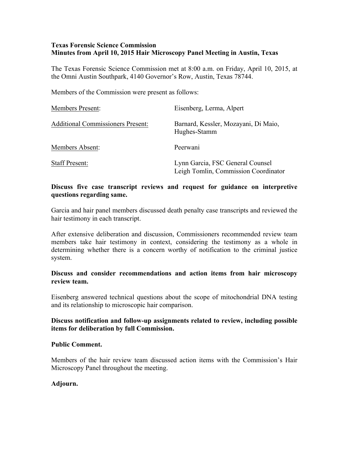# **Texas Forensic Science Commission Minutes from April 10, 2015 Hair Microscopy Panel Meeting in Austin, Texas**

The Texas Forensic Science Commission met at 8:00 a.m. on Friday, April 10, 2015, at the Omni Austin Southpark, 4140 Governor's Row, Austin, Texas 78744.

Members of the Commission were present as follows:

| <b>Members Present:</b>                  | Eisenberg, Lerma, Alpert                                                 |
|------------------------------------------|--------------------------------------------------------------------------|
| <b>Additional Commissioners Present:</b> | Barnard, Kessler, Mozayani, Di Maio,<br>Hughes-Stamm                     |
| Members Absent:                          | Peerwani                                                                 |
| <b>Staff Present:</b>                    | Lynn Garcia, FSC General Counsel<br>Leigh Tomlin, Commission Coordinator |

# **Discuss five case transcript reviews and request for guidance on interpretive questions regarding same.**

Garcia and hair panel members discussed death penalty case transcripts and reviewed the hair testimony in each transcript.

After extensive deliberation and discussion, Commissioners recommended review team members take hair testimony in context, considering the testimony as a whole in determining whether there is a concern worthy of notification to the criminal justice system.

## **Discuss and consider recommendations and action items from hair microscopy review team.**

Eisenberg answered technical questions about the scope of mitochondrial DNA testing and its relationship to microscopic hair comparison.

### **Discuss notification and follow-up assignments related to review, including possible items for deliberation by full Commission.**

#### **Public Comment.**

Members of the hair review team discussed action items with the Commission's Hair Microscopy Panel throughout the meeting.

#### **Adjourn.**